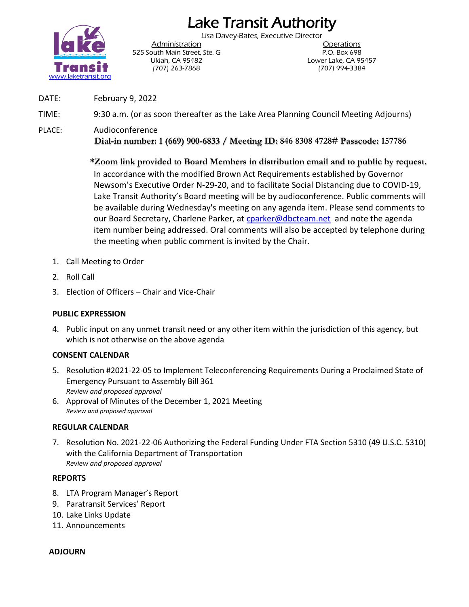# Lake Transit Authority Lisa Davey-Bates, Executive Director



Administration Operations 525 South Main Street, Ste. G P.O. Box 698 (707) 263-7868 (707) 994-3384

Ukiah, CA 95482 Lower Lake, CA 95457

DATE: February 9, 2022

TIME: 9:30 a.m. (or as soon thereafter as the Lake Area Planning Council Meeting Adjourns)

PLACE: Audioconference **Dial-in number: 1 (669) 900-6833 / Meeting ID: 846 8308 4728# Passcode: 157786**

> **\*Zoom link provided to Board Members in distribution email and to public by request.** In accordance with the modified Brown Act Requirements established by Governor Newsom's Executive Order N-29-20, and to facilitate Social Distancing due to COVID-19, Lake Transit Authority's Board meeting will be by audioconference. Public comments will be available during Wednesday's meeting on any agenda item. Please send comments to our Board Secretary, Charlene Parker, at [cparker@dbcteam.net](mailto:cparker@dbcteam.net) and note the agenda item number being addressed. Oral comments will also be accepted by telephone during the meeting when public comment is invited by the Chair.

- 1. Call Meeting to Order
- 2. Roll Call
- 3. Election of Officers Chair and Vice-Chair

#### **PUBLIC EXPRESSION**

4. Public input on any unmet transit need or any other item within the jurisdiction of this agency, but which is not otherwise on the above agenda

#### **CONSENT CALENDAR**

- 5. Resolution #2021-22-05 to Implement Teleconferencing Requirements During a Proclaimed State of Emergency Pursuant to Assembly Bill 361 *Review and proposed approval*
- 6. Approval of Minutes of the December 1, 2021 Meeting *Review and proposed approval*

#### **REGULAR CALENDAR**

7. Resolution No. 2021-22-06 Authorizing the Federal Funding Under FTA Section 5310 (49 U.S.C. 5310) with the California Department of Transportation *Review and proposed approval*

#### **REPORTS**

- 8. LTA Program Manager's Report
- 9. Paratransit Services' Report
- 10. Lake Links Update
- 11. Announcements

#### **ADJOURN**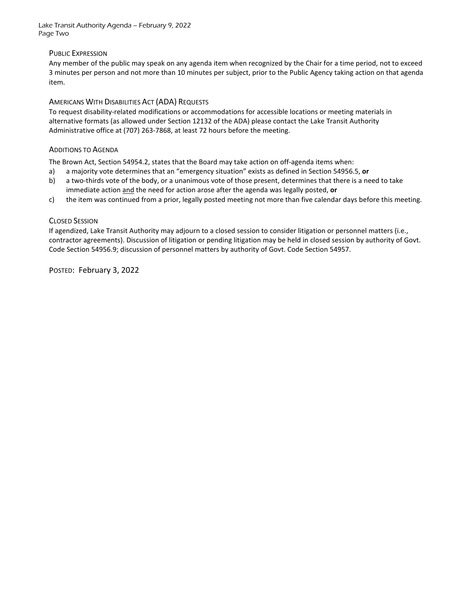Lake Transit Authority Agenda – February 9, 2022 Page Two

#### PUBLIC EXPRESSION

Any member of the public may speak on any agenda item when recognized by the Chair for a time period, not to exceed 3 minutes per person and not more than 10 minutes per subject, prior to the Public Agency taking action on that agenda item.

#### AMERICANS WITH DISABILITIES ACT (ADA) REQUESTS

To request disability-related modifications or accommodations for accessible locations or meeting materials in alternative formats (as allowed under Section 12132 of the ADA) please contact the Lake Transit Authority Administrative office at (707) 263-7868, at least 72 hours before the meeting.

#### ADDITIONS TO AGENDA

The Brown Act, Section 54954.2, states that the Board may take action on off-agenda items when:

- a) a majority vote determines that an "emergency situation" exists as defined in Section 54956.5, **or**
- b) a two-thirds vote of the body, or a unanimous vote of those present, determines that there is a need to take immediate action and the need for action arose after the agenda was legally posted, **or**
- c) the item was continued from a prior, legally posted meeting not more than five calendar days before this meeting.

#### CLOSED SESSION

If agendized, Lake Transit Authority may adjourn to a closed session to consider litigation or personnel matters (i.e., contractor agreements). Discussion of litigation or pending litigation may be held in closed session by authority of Govt. Code Section 54956.9; discussion of personnel matters by authority of Govt. Code Section 54957.

POSTED: February 3, 2022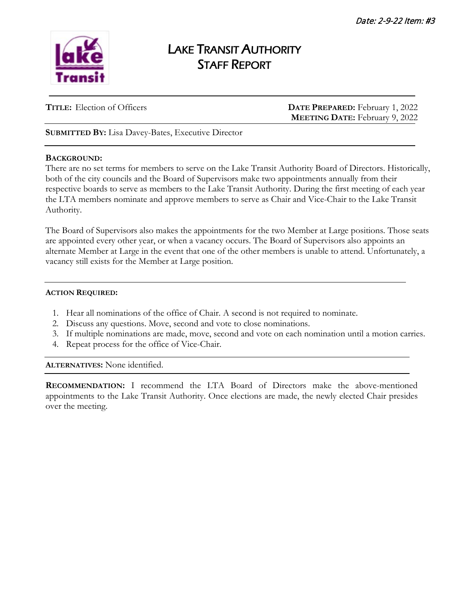

# LAKE TRANSIT AUTHORITY STAFF REPORT

**TITLE:** Election of Officers **DATE PREPARED:** February 1, 2022 **MEETING DATE:** February 9, 2022

**SUBMITTED BY:** Lisa Davey-Bates, Executive Director

#### **BACKGROUND:**

There are no set terms for members to serve on the Lake Transit Authority Board of Directors. Historically, both of the city councils and the Board of Supervisors make two appointments annually from their respective boards to serve as members to the Lake Transit Authority. During the first meeting of each year the LTA members nominate and approve members to serve as Chair and Vice-Chair to the Lake Transit Authority.

The Board of Supervisors also makes the appointments for the two Member at Large positions. Those seats are appointed every other year, or when a vacancy occurs. The Board of Supervisors also appoints an alternate Member at Large in the event that one of the other members is unable to attend. Unfortunately, a vacancy still exists for the Member at Large position.

#### **ACTION REQUIRED:**

- 1. Hear all nominations of the office of Chair. A second is not required to nominate.
- 2. Discuss any questions. Move, second and vote to close nominations.
- 3. If multiple nominations are made, move, second and vote on each nomination until a motion carries.
- 4. Repeat process for the office of Vice-Chair.

**ALTERNATIVES:** None identified.

**RECOMMENDATION:** I recommend the LTA Board of Directors make the above-mentioned appointments to the Lake Transit Authority. Once elections are made, the newly elected Chair presides over the meeting.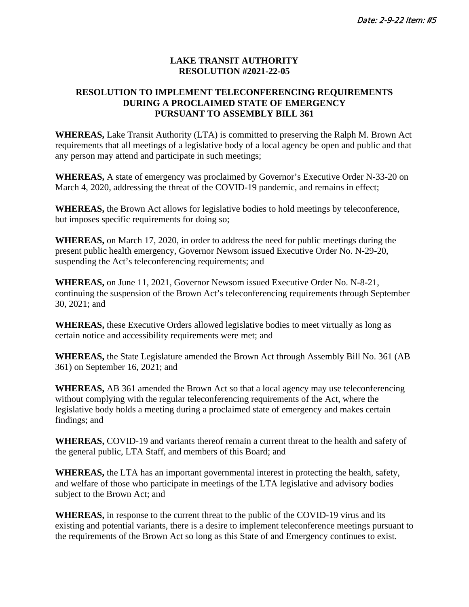#### **LAKE TRANSIT AUTHORITY RESOLUTION #2021-22-05**

#### **RESOLUTION TO IMPLEMENT TELECONFERENCING REQUIREMENTS DURING A PROCLAIMED STATE OF EMERGENCY PURSUANT TO ASSEMBLY BILL 361**

**WHEREAS,** Lake Transit Authority (LTA) is committed to preserving the Ralph M. Brown Act requirements that all meetings of a legislative body of a local agency be open and public and that any person may attend and participate in such meetings;

**WHEREAS,** A state of emergency was proclaimed by Governor's Executive Order N-33-20 on March 4, 2020, addressing the threat of the COVID-19 pandemic, and remains in effect;

**WHEREAS,** the Brown Act allows for legislative bodies to hold meetings by teleconference, but imposes specific requirements for doing so;

**WHEREAS,** on March 17, 2020, in order to address the need for public meetings during the present public health emergency, Governor Newsom issued Executive Order No. N-29-20, suspending the Act's teleconferencing requirements; and

**WHEREAS,** on June 11, 2021, Governor Newsom issued Executive Order No. N-8-21, continuing the suspension of the Brown Act's teleconferencing requirements through September 30, 2021; and

**WHEREAS,** these Executive Orders allowed legislative bodies to meet virtually as long as certain notice and accessibility requirements were met; and

**WHEREAS,** the State Legislature amended the Brown Act through Assembly Bill No. 361 (AB 361) on September 16, 2021; and

**WHEREAS,** AB 361 amended the Brown Act so that a local agency may use teleconferencing without complying with the regular teleconferencing requirements of the Act, where the legislative body holds a meeting during a proclaimed state of emergency and makes certain findings; and

**WHEREAS,** COVID-19 and variants thereof remain a current threat to the health and safety of the general public, LTA Staff, and members of this Board; and

**WHEREAS,** the LTA has an important governmental interest in protecting the health, safety, and welfare of those who participate in meetings of the LTA legislative and advisory bodies subject to the Brown Act; and

**WHEREAS,** in response to the current threat to the public of the COVID-19 virus and its existing and potential variants, there is a desire to implement teleconference meetings pursuant to the requirements of the Brown Act so long as this State of and Emergency continues to exist.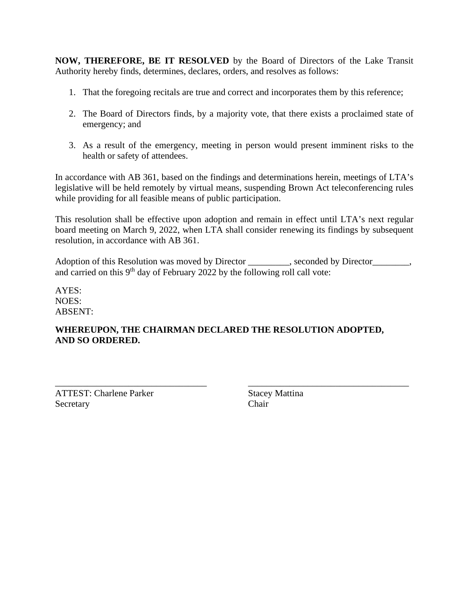**NOW, THEREFORE, BE IT RESOLVED** by the Board of Directors of the Lake Transit Authority hereby finds, determines, declares, orders, and resolves as follows:

- 1. That the foregoing recitals are true and correct and incorporates them by this reference;
- 2. The Board of Directors finds, by a majority vote, that there exists a proclaimed state of emergency; and
- 3. As a result of the emergency, meeting in person would present imminent risks to the health or safety of attendees.

In accordance with AB 361, based on the findings and determinations herein, meetings of LTA's legislative will be held remotely by virtual means, suspending Brown Act teleconferencing rules while providing for all feasible means of public participation.

This resolution shall be effective upon adoption and remain in effect until LTA's next regular board meeting on March 9, 2022, when LTA shall consider renewing its findings by subsequent resolution, in accordance with AB 361.

Adoption of this Resolution was moved by Director \_\_\_\_\_\_\_, seconded by Director \_\_\_\_\_, and carried on this  $9<sup>th</sup>$  day of February 2022 by the following roll call vote:

AYES: NOES: ABSENT:

#### **WHEREUPON, THE CHAIRMAN DECLARED THE RESOLUTION ADOPTED, AND SO ORDERED.**

\_\_\_\_\_\_\_\_\_\_\_\_\_\_\_\_\_\_\_\_\_\_\_\_\_\_\_\_\_\_\_\_\_ \_\_\_\_\_\_\_\_\_\_\_\_\_\_\_\_\_\_\_\_\_\_\_\_\_\_\_\_\_\_\_\_\_\_\_ ATTEST: Charlene Parker Stacey Mattina Secretary Chair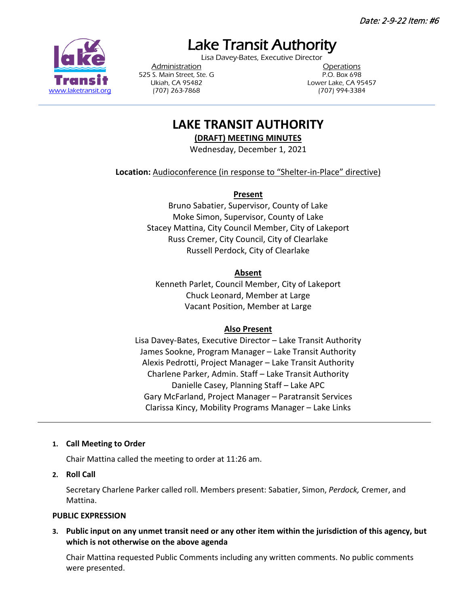Date: 2-9-22 Item: #6

Lake Transit Authority<br>Lisa Davey-Bates, Executive Director

525 S. Main Street, Ste. G P.O. Box 698 [www.laketransit.org](http://www.laketransit.org/) (707) 263-7868 (707) 994-3384

Administration **Contraction Contractions** Ukiah, CA 95482 Lower Lake, CA 95457

## **LAKE TRANSIT AUTHORITY**

**(DRAFT) MEETING MINUTES**

Wednesday, December 1, 2021

**Location:** Audioconference (in response to "Shelter-in-Place" directive)

**Present**

Bruno Sabatier, Supervisor, County of Lake Moke Simon, Supervisor, County of Lake Stacey Mattina, City Council Member, City of Lakeport Russ Cremer, City Council, City of Clearlake Russell Perdock, City of Clearlake

#### **Absent**

Kenneth Parlet, Council Member, City of Lakeport Chuck Leonard, Member at Large Vacant Position, Member at Large

#### **Also Present**

Lisa Davey-Bates, Executive Director – Lake Transit Authority James Sookne, Program Manager – Lake Transit Authority Alexis Pedrotti, Project Manager – Lake Transit Authority Charlene Parker, Admin. Staff – Lake Transit Authority Danielle Casey, Planning Staff – Lake APC Gary McFarland, Project Manager – Paratransit Services Clarissa Kincy, Mobility Programs Manager – Lake Links

#### **1. Call Meeting to Order**

Chair Mattina called the meeting to order at 11:26 am.

**2. Roll Call**

Secretary Charlene Parker called roll. Members present: Sabatier, Simon, *Perdock,* Cremer, and Mattina.

#### **PUBLIC EXPRESSION**

**3. Public input on any unmet transit need or any other item within the jurisdiction of this agency, but which is not otherwise on the above agenda**

Chair Mattina requested Public Comments including any written comments. No public comments were presented.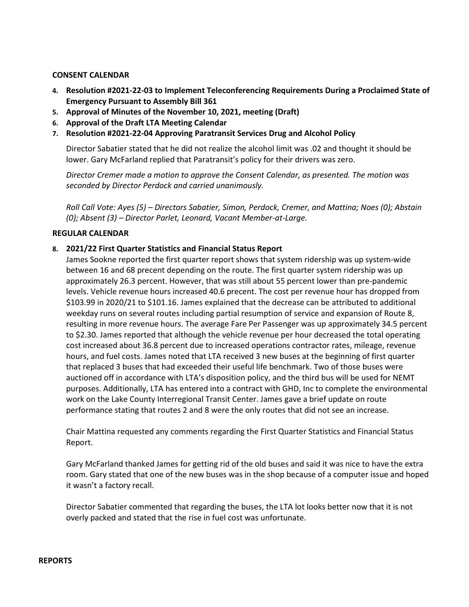#### **CONSENT CALENDAR**

- **4. Resolution #2021-22-03 to Implement Teleconferencing Requirements During a Proclaimed State of Emergency Pursuant to Assembly Bill 361**
- **5. Approval of Minutes of the November 10, 2021, meeting (Draft)**
- **6. Approval of the Draft LTA Meeting Calendar**
- **7. Resolution #2021-22-04 Approving Paratransit Services Drug and Alcohol Policy**

Director Sabatier stated that he did not realize the alcohol limit was .02 and thought it should be lower. Gary McFarland replied that Paratransit's policy for their drivers was zero.

*Director Cremer made a motion to approve the Consent Calendar, as presented. The motion was seconded by Director Perdock and carried unanimously.*

*Roll Call Vote: Ayes (5) – Directors Sabatier, Simon, Perdock, Cremer, and Mattina; Noes (0); Abstain (0); Absent (3) – Director Parlet, Leonard, Vacant Member-at-Large.*

#### **REGULAR CALENDAR**

#### **8. 2021/22 First Quarter Statistics and Financial Status Report**

James Sookne reported the first quarter report shows that system ridership was up system-wide between 16 and 68 precent depending on the route. The first quarter system ridership was up approximately 26.3 percent. However, that was still about 55 percent lower than pre-pandemic levels. Vehicle revenue hours increased 40.6 precent. The cost per revenue hour has dropped from \$103.99 in 2020/21 to \$101.16. James explained that the decrease can be attributed to additional weekday runs on several routes including partial resumption of service and expansion of Route 8, resulting in more revenue hours. The average Fare Per Passenger was up approximately 34.5 percent to \$2.30. James reported that although the vehicle revenue per hour decreased the total operating cost increased about 36.8 percent due to increased operations contractor rates, mileage, revenue hours, and fuel costs. James noted that LTA received 3 new buses at the beginning of first quarter that replaced 3 buses that had exceeded their useful life benchmark. Two of those buses were auctioned off in accordance with LTA's disposition policy, and the third bus will be used for NEMT purposes. Additionally, LTA has entered into a contract with GHD, Inc to complete the environmental work on the Lake County Interregional Transit Center. James gave a brief update on route performance stating that routes 2 and 8 were the only routes that did not see an increase.

Chair Mattina requested any comments regarding the First Quarter Statistics and Financial Status Report.

Gary McFarland thanked James for getting rid of the old buses and said it was nice to have the extra room. Gary stated that one of the new buses was in the shop because of a computer issue and hoped it wasn't a factory recall.

Director Sabatier commented that regarding the buses, the LTA lot looks better now that it is not overly packed and stated that the rise in fuel cost was unfortunate.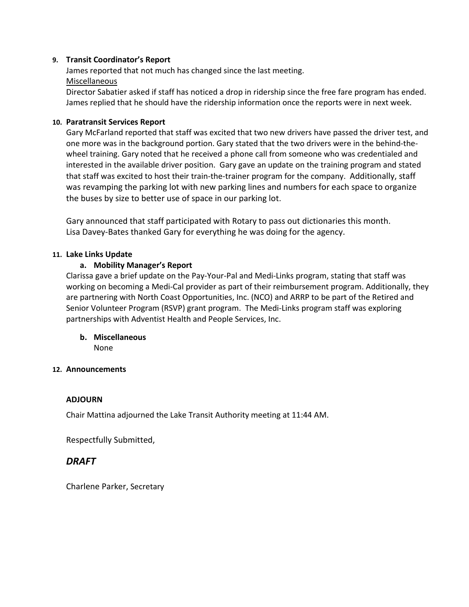#### **9. Transit Coordinator's Report**

James reported that not much has changed since the last meeting. Miscellaneous

Director Sabatier asked if staff has noticed a drop in ridership since the free fare program has ended. James replied that he should have the ridership information once the reports were in next week.

#### **10. Paratransit Services Report**

Gary McFarland reported that staff was excited that two new drivers have passed the driver test, and one more was in the background portion. Gary stated that the two drivers were in the behind-thewheel training. Gary noted that he received a phone call from someone who was credentialed and interested in the available driver position. Gary gave an update on the training program and stated that staff was excited to host their train-the-trainer program for the company. Additionally, staff was revamping the parking lot with new parking lines and numbers for each space to organize the buses by size to better use of space in our parking lot.

Gary announced that staff participated with Rotary to pass out dictionaries this month. Lisa Davey-Bates thanked Gary for everything he was doing for the agency.

#### **11. Lake Links Update**

#### **a. Mobility Manager's Report**

Clarissa gave a brief update on the Pay-Your-Pal and Medi-Links program, stating that staff was working on becoming a Medi-Cal provider as part of their reimbursement program. Additionally, they are partnering with North Coast Opportunities, Inc. (NCO) and ARRP to be part of the Retired and Senior Volunteer Program (RSVP) grant program. The Medi-Links program staff was exploring partnerships with Adventist Health and People Services, Inc.

#### **b. Miscellaneous**

None

#### **12. Announcements**

#### **ADJOURN**

Chair Mattina adjourned the Lake Transit Authority meeting at 11:44 AM.

Respectfully Submitted,

#### *DRAFT*

Charlene Parker, Secretary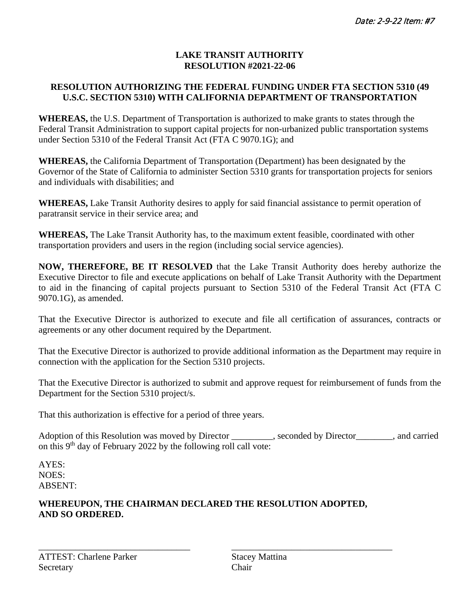#### **LAKE TRANSIT AUTHORITY RESOLUTION #2021-22-06**

### **RESOLUTION AUTHORIZING THE FEDERAL FUNDING UNDER FTA SECTION 5310 (49 U.S.C. SECTION 5310) WITH CALIFORNIA DEPARTMENT OF TRANSPORTATION**

**WHEREAS,** the U.S. Department of Transportation is authorized to make grants to states through the Federal Transit Administration to support capital projects for non-urbanized public transportation systems under Section 5310 of the Federal Transit Act (FTA C 9070.1G); and

**WHEREAS,** the California Department of Transportation (Department) has been designated by the Governor of the State of California to administer Section 5310 grants for transportation projects for seniors and individuals with disabilities; and

**WHEREAS,** Lake Transit Authority desires to apply for said financial assistance to permit operation of paratransit service in their service area; and

**WHEREAS,** The Lake Transit Authority has, to the maximum extent feasible, coordinated with other transportation providers and users in the region (including social service agencies).

**NOW, THEREFORE, BE IT RESOLVED** that the Lake Transit Authority does hereby authorize the Executive Director to file and execute applications on behalf of Lake Transit Authority with the Department to aid in the financing of capital projects pursuant to Section 5310 of the Federal Transit Act (FTA C 9070.1G), as amended.

That the Executive Director is authorized to execute and file all certification of assurances, contracts or agreements or any other document required by the Department.

That the Executive Director is authorized to provide additional information as the Department may require in connection with the application for the Section 5310 projects.

That the Executive Director is authorized to submit and approve request for reimbursement of funds from the Department for the Section 5310 project/s.

That this authorization is effective for a period of three years.

Adoption of this Resolution was moved by Director \_\_\_\_\_\_\_, seconded by Director \_\_\_\_\_\_\_, and carried on this  $9<sup>th</sup>$  day of February 2022 by the following roll call vote:

AYES: NOES: ABSENT:

#### **WHEREUPON, THE CHAIRMAN DECLARED THE RESOLUTION ADOPTED, AND SO ORDERED.**

\_\_\_\_\_\_\_\_\_\_\_\_\_\_\_\_\_\_\_\_\_\_\_\_\_\_\_\_\_\_\_\_\_ \_\_\_\_\_\_\_\_\_\_\_\_\_\_\_\_\_\_\_\_\_\_\_\_\_\_\_\_\_\_\_\_\_\_\_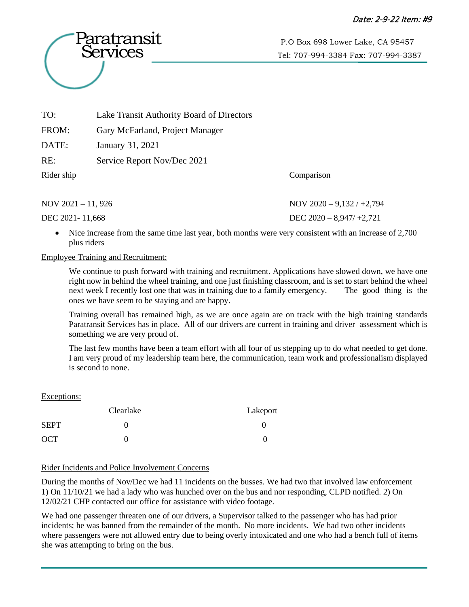

Tel: 707-994-3384 Fax: 707-994-3387

| TO:        | Lake Transit Authority Board of Directors |            |
|------------|-------------------------------------------|------------|
| FROM:      | Gary McFarland, Project Manager           |            |
| DATE:      | January 31, 2021                          |            |
| RE:        | Service Report Nov/Dec 2021               |            |
| Rider ship |                                           | Comparison |

NOV 2021 – 11, 926 NOV 2020 – 9,132 / +2,794

DEC 2021- 11,668 DEC 2020 – 8,947/ +2,721

Nice increase from the same time last year, both months were very consistent with an increase of 2,700 plus riders

#### Employee Training and Recruitment:

We continue to push forward with training and recruitment. Applications have slowed down, we have one right now in behind the wheel training, and one just finishing classroom, and is set to start behind the wheel next week I recently lost one that was in training due to a family emergency. The good thing is the ones we have seem to be staying and are happy.

Training overall has remained high, as we are once again are on track with the high training standards Paratransit Services has in place. All of our drivers are current in training and driver assessment which is something we are very proud of.

The last few months have been a team effort with all four of us stepping up to do what needed to get done. I am very proud of my leadership team here, the communication, team work and professionalism displayed is second to none.

#### Exceptions:

|             | Clearlake | Lakeport |
|-------------|-----------|----------|
| <b>SEPT</b> |           |          |
| <b>OCT</b>  |           |          |

#### Rider Incidents and Police Involvement Concerns

During the months of Nov/Dec we had 11 incidents on the busses. We had two that involved law enforcement 1) On 11/10/21 we had a lady who was hunched over on the bus and nor responding, CLPD notified. 2) On 12/02/21 CHP contacted our office for assistance with video footage.

We had one passenger threaten one of our drivers, a Supervisor talked to the passenger who has had prior incidents; he was banned from the remainder of the month. No more incidents. We had two other incidents where passengers were not allowed entry due to being overly intoxicated and one who had a bench full of items she was attempting to bring on the bus.